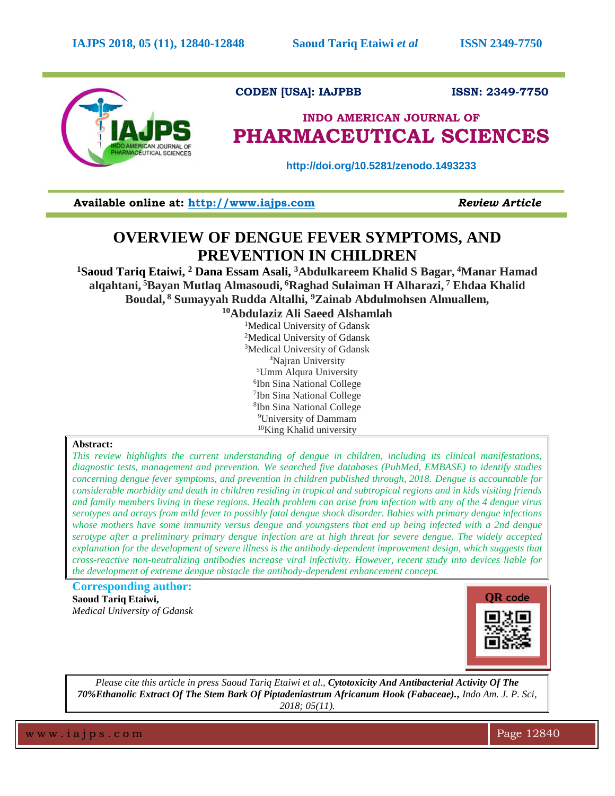

## **CODEN [USA]: IAJPBB ISSN: 2349-7750**

# **INDO AMERICAN JOURNAL OF PHARMACEUTICAL SCIENCES**

 **http://doi.org/10.5281/zenodo.1493233**

**Available online at: [http://www.iajps.com](http://www.iajps.com/)** *Review Article*

## **OVERVIEW OF DENGUE FEVER SYMPTOMS, AND PREVENTION IN CHILDREN**

**<sup>1</sup>Saoud Tariq Etaiwi, <sup>2</sup> Dana Essam Asali, <sup>3</sup>Abdulkareem Khalid S Bagar, <sup>4</sup>Manar Hamad alqahtani, <sup>5</sup>Bayan Mutlaq Almasoudi, <sup>6</sup>Raghad Sulaiman H Alharazi, <sup>7</sup> Ehdaa Khalid Boudal, <sup>8</sup> Sumayyah Rudda Altalhi, <sup>9</sup>Zainab Abdulmohsen Almuallem,**

**Abdulaziz Ali Saeed Alshamlah** <sup>1</sup>Medical University of Gdansk Medical University of Gdansk Medical University of Gdansk Najran University Umm Alqura University Ibn Sina National College Ibn Sina National College Ibn Sina National College University of Dammam King Khalid university

#### **Abstract:**

*This review highlights the current understanding of dengue in children, including its clinical manifestations, diagnostic tests, management and prevention. We searched five databases (PubMed, EMBASE) to identify studies concerning dengue fever symptoms, and prevention in children published through, 2018. Dengue is accountable for considerable morbidity and death in children residing in tropical and subtropical regions and in kids visiting friends and family members living in these regions. Health problem can arise from infection with any of the 4 dengue virus serotypes and arrays from mild fever to possibly fatal dengue shock disorder. Babies with primary dengue infections whose mothers have some immunity versus dengue and youngsters that end up being infected with a 2nd dengue serotype after a preliminary primary dengue infection are at high threat for severe dengue. The widely accepted explanation for the development of severe illness is the antibody-dependent improvement design, which suggests that cross-reactive non-neutralizing antibodies increase viral infectivity. However, recent study into devices liable for the development of extreme dengue obstacle the antibody-dependent enhancement concept.*

**Corresponding author: Saoud Tariq Etaiwi,**  *Medical University of Gdansk*



*Please cite this article in press Saoud Tariq Etaiwi et al., Cytotoxicity And Antibacterial Activity Of The 70%Ethanolic Extract Of The Stem Bark Of Piptadeniastrum Africanum Hook (Fabaceae)., Indo Am. J. P. Sci, 2018; 05(11).*

w w w .iajps.com **Page 12840**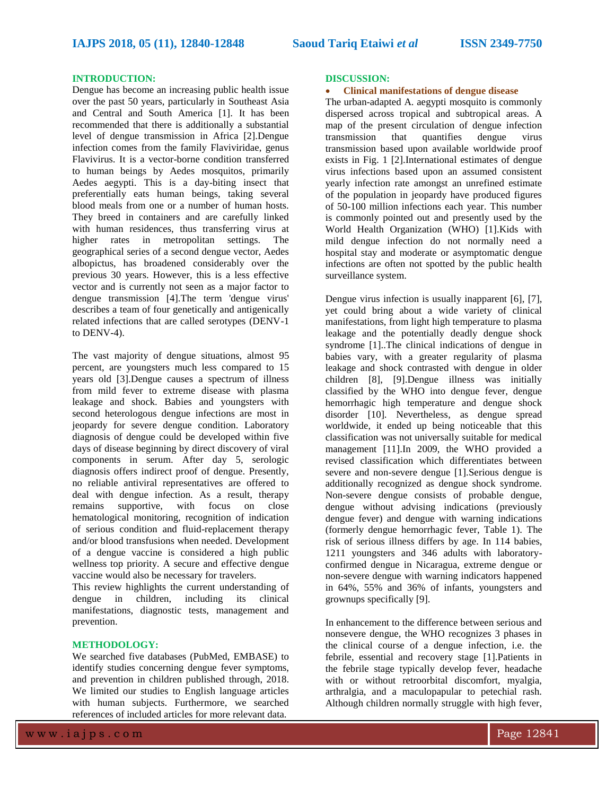#### **INTRODUCTION:**

Dengue has become an increasing public health issue over the past 50 years, particularly in Southeast Asia and Central and South America [1]. It has been recommended that there is additionally a substantial level of dengue transmission in Africa [2].Dengue infection comes from the family Flaviviridae, genus Flavivirus. It is a vector-borne condition transferred to human beings by Aedes mosquitos, primarily Aedes aegypti. This is a day-biting insect that preferentially eats human beings, taking several blood meals from one or a number of human hosts. They breed in containers and are carefully linked with human residences, thus transferring virus at higher rates in metropolitan settings. The geographical series of a second dengue vector, Aedes albopictus, has broadened considerably over the previous 30 years. However, this is a less effective vector and is currently not seen as a major factor to dengue transmission [4].The term 'dengue virus' describes a team of four genetically and antigenically related infections that are called serotypes (DENV-1 to DENV-4).

The vast majority of dengue situations, almost 95 percent, are youngsters much less compared to 15 years old [3].Dengue causes a spectrum of illness from mild fever to extreme disease with plasma leakage and shock. Babies and youngsters with second heterologous dengue infections are most in jeopardy for severe dengue condition. Laboratory diagnosis of dengue could be developed within five days of disease beginning by direct discovery of viral components in serum. After day 5, serologic diagnosis offers indirect proof of dengue. Presently, no reliable antiviral representatives are offered to deal with dengue infection. As a result, therapy remains supportive, with focus on close hematological monitoring, recognition of indication of serious condition and fluid-replacement therapy and/or blood transfusions when needed. Development of a dengue vaccine is considered a high public wellness top priority. A secure and effective dengue vaccine would also be necessary for travelers.

This review highlights the current understanding of dengue in children, including its clinical manifestations, diagnostic tests, management and prevention.

#### **METHODOLOGY:**

We searched five databases (PubMed, EMBASE) to identify studies concerning dengue fever symptoms, and prevention in children published through, 2018. We limited our studies to English language articles with human subjects. Furthermore, we searched references of included articles for more relevant data.

#### **DISCUSSION:**

#### • **Clinical manifestations of dengue disease**

The urban-adapted A. aegypti mosquito is commonly dispersed across tropical and subtropical areas. A map of the present circulation of dengue infection transmission that quantifies dengue virus transmission based upon available worldwide proof exists in Fig. 1 [2].International estimates of dengue virus infections based upon an assumed consistent yearly infection rate amongst an unrefined estimate of the population in jeopardy have produced figures of 50-100 million infections each year. This number is commonly pointed out and presently used by the World Health Organization (WHO) [1].Kids with mild dengue infection do not normally need a hospital stay and moderate or asymptomatic dengue infections are often not spotted by the public health surveillance system.

Dengue virus infection is usually inapparent [6], [7], yet could bring about a wide variety of clinical manifestations, from light high temperature to plasma leakage and the potentially deadly dengue shock syndrome [1]..The clinical indications of dengue in babies vary, with a greater regularity of plasma leakage and shock contrasted with dengue in older children [8], [9].Dengue illness was initially classified by the WHO into dengue fever, dengue hemorrhagic high temperature and dengue shock disorder [10]. Nevertheless, as dengue spread worldwide, it ended up being noticeable that this classification was not universally suitable for medical management [11].In 2009, the WHO provided a revised classification which differentiates between severe and non-severe dengue [1].Serious dengue is additionally recognized as dengue shock syndrome. Non-severe dengue consists of probable dengue, dengue without advising indications (previously dengue fever) and dengue with warning indications (formerly dengue hemorrhagic fever, Table 1). The risk of serious illness differs by age. In 114 babies, 1211 youngsters and 346 adults with laboratoryconfirmed dengue in Nicaragua, extreme dengue or non-severe dengue with warning indicators happened in 64%, 55% and 36% of infants, youngsters and grownups specifically [9].

In enhancement to the difference between serious and nonsevere dengue, the WHO recognizes 3 phases in the clinical course of a dengue infection, i.e. the febrile, essential and recovery stage [1].Patients in the febrile stage typically develop fever, headache with or without retroorbital discomfort, myalgia, arthralgia, and a maculopapular to petechial rash. Although children normally struggle with high fever,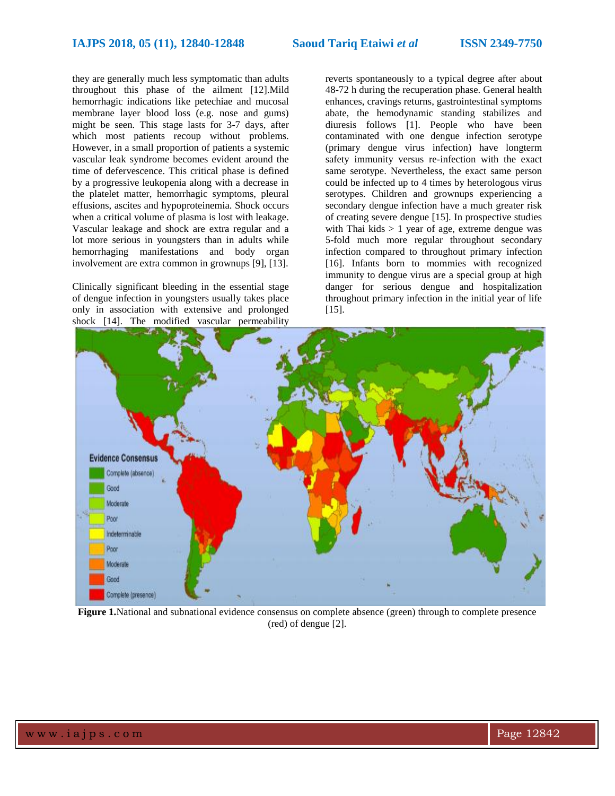they are generally much less symptomatic than adults throughout this phase of the ailment [12].Mild hemorrhagic indications like petechiae and mucosal membrane layer blood loss (e.g. nose and gums) might be seen. This stage lasts for 3-7 days, after which most patients recoup without problems. However, in a small proportion of patients a systemic vascular leak syndrome becomes evident around the time of defervescence. This critical phase is defined by a progressive leukopenia along with a decrease in the platelet matter, hemorrhagic symptoms, pleural effusions, ascites and hypoproteinemia. Shock occurs when a critical volume of plasma is lost with leakage. Vascular leakage and shock are extra regular and a lot more serious in youngsters than in adults while hemorrhaging manifestations and body organ involvement are extra common in grownups [9], [13].

Clinically significant bleeding in the essential stage of dengue infection in youngsters usually takes place only in association with extensive and prolonged shock [14]. The modified vascular permeability

reverts spontaneously to a typical degree after about 48-72 h during the recuperation phase. General health enhances, cravings returns, gastrointestinal symptoms abate, the hemodynamic standing stabilizes and diuresis follows [1]. People who have been contaminated with one dengue infection serotype (primary dengue virus infection) have longterm safety immunity versus re-infection with the exact same serotype. Nevertheless, the exact same person could be infected up to 4 times by heterologous virus serotypes. Children and grownups experiencing a secondary dengue infection have a much greater risk of creating severe dengue [15]. In prospective studies with Thai kids  $> 1$  year of age, extreme dengue was 5-fold much more regular throughout secondary infection compared to throughout primary infection [16]. Infants born to mommies with recognized immunity to dengue virus are a special group at high danger for serious dengue and hospitalization throughout primary infection in the initial year of life [15].



**Figure 1.**National and subnational evidence consensus on complete absence (green) through to complete presence (red) of dengue [2].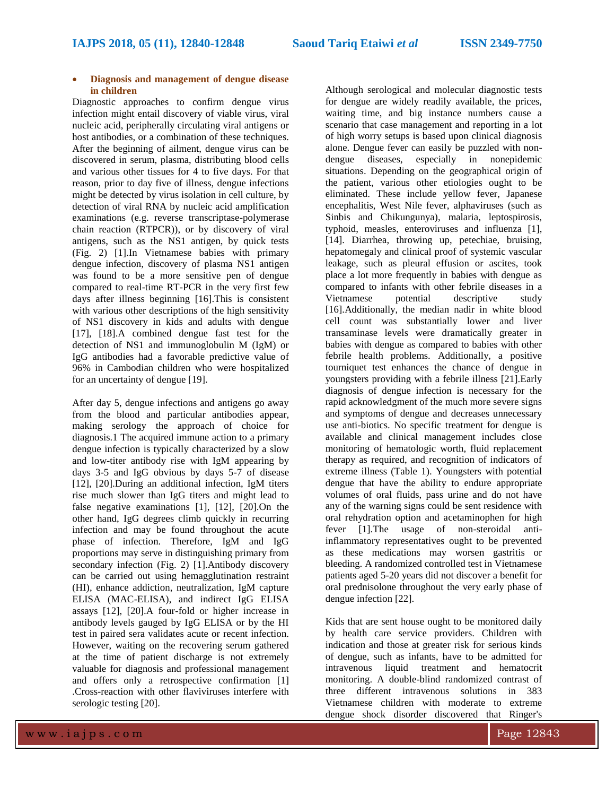### • **Diagnosis and management of dengue disease in children**

Diagnostic approaches to confirm dengue virus infection might entail discovery of viable virus, viral nucleic acid, peripherally circulating viral antigens or host antibodies, or a combination of these techniques. After the beginning of ailment, dengue virus can be discovered in serum, plasma, distributing blood cells and various other tissues for 4 to five days. For that reason, prior to day five of illness, dengue infections might be detected by virus isolation in cell culture, by detection of viral RNA by nucleic acid amplification examinations (e.g. reverse transcriptase-polymerase chain reaction (RTPCR)), or by discovery of viral antigens, such as the NS1 antigen, by quick tests (Fig. 2) [1].In Vietnamese babies with primary dengue infection, discovery of plasma NS1 antigen was found to be a more sensitive pen of dengue compared to real-time RT-PCR in the very first few days after illness beginning [16].This is consistent with various other descriptions of the high sensitivity of NS1 discovery in kids and adults with dengue [17], [18].A combined dengue fast test for the detection of NS1 and immunoglobulin M (IgM) or IgG antibodies had a favorable predictive value of 96% in Cambodian children who were hospitalized for an uncertainty of dengue [19].

After day 5, dengue infections and antigens go away from the blood and particular antibodies appear, making serology the approach of choice for diagnosis.1 The acquired immune action to a primary dengue infection is typically characterized by a slow and low-titer antibody rise with IgM appearing by days 3-5 and IgG obvious by days 5-7 of disease [12], [20].During an additional infection, IgM titers rise much slower than IgG titers and might lead to false negative examinations [1], [12], [20].On the other hand, IgG degrees climb quickly in recurring infection and may be found throughout the acute phase of infection. Therefore, IgM and IgG proportions may serve in distinguishing primary from secondary infection (Fig. 2) [1].Antibody discovery can be carried out using hemagglutination restraint (HI), enhance addiction, neutralization, IgM capture ELISA (MAC-ELISA), and indirect IgG ELISA assays [12], [20].A four-fold or higher increase in antibody levels gauged by IgG ELISA or by the HI test in paired sera validates acute or recent infection. However, waiting on the recovering serum gathered at the time of patient discharge is not extremely valuable for diagnosis and professional management and offers only a retrospective confirmation [1] .Cross-reaction with other flaviviruses interfere with serologic testing [20].

Although serological and molecular diagnostic tests for dengue are widely readily available, the prices, waiting time, and big instance numbers cause a scenario that case management and reporting in a lot of high worry setups is based upon clinical diagnosis alone. Dengue fever can easily be puzzled with nondengue diseases, especially in nonepidemic situations. Depending on the geographical origin of the patient, various other etiologies ought to be eliminated. These include yellow fever, Japanese encephalitis, West Nile fever, alphaviruses (such as Sinbis and Chikungunya), malaria, leptospirosis, typhoid, measles, enteroviruses and influenza [1], [14]. Diarrhea, throwing up, petechiae, bruising, hepatomegaly and clinical proof of systemic vascular leakage, such as pleural effusion or ascites, took place a lot more frequently in babies with dengue as compared to infants with other febrile diseases in a Vietnamese potential descriptive study [16].Additionally, the median nadir in white blood cell count was substantially lower and liver transaminase levels were dramatically greater in babies with dengue as compared to babies with other febrile health problems. Additionally, a positive tourniquet test enhances the chance of dengue in youngsters providing with a febrile illness [21].Early diagnosis of dengue infection is necessary for the rapid acknowledgment of the much more severe signs and symptoms of dengue and decreases unnecessary use anti-biotics. No specific treatment for dengue is available and clinical management includes close monitoring of hematologic worth, fluid replacement therapy as required, and recognition of indicators of extreme illness (Table 1). Youngsters with potential dengue that have the ability to endure appropriate volumes of oral fluids, pass urine and do not have any of the warning signs could be sent residence with oral rehydration option and acetaminophen for high fever [1].The usage of non-steroidal antiinflammatory representatives ought to be prevented as these medications may worsen gastritis or bleeding. A randomized controlled test in Vietnamese patients aged 5-20 years did not discover a benefit for oral prednisolone throughout the very early phase of dengue infection [22].

Kids that are sent house ought to be monitored daily by health care service providers. Children with indication and those at greater risk for serious kinds of dengue, such as infants, have to be admitted for intravenous liquid treatment and hematocrit monitoring. A double-blind randomized contrast of three different intravenous solutions in 383 Vietnamese children with moderate to extreme dengue shock disorder discovered that Ringer's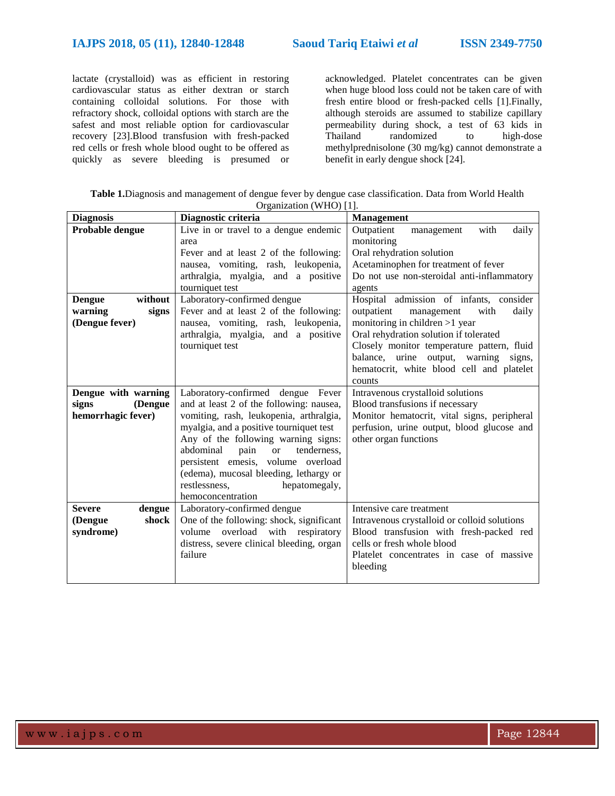lactate (crystalloid) was as efficient in restoring cardiovascular status as either dextran or starch containing colloidal solutions. For those with refractory shock, colloidal options with starch are the safest and most reliable option for cardiovascular recovery [23].Blood transfusion with fresh-packed red cells or fresh whole blood ought to be offered as quickly as severe bleeding is presumed or

acknowledged. Platelet concentrates can be given when huge blood loss could not be taken care of with fresh entire blood or fresh-packed cells [1].Finally, although steroids are assumed to stabilize capillary permeability during shock, a test of 63 kids in Thailand randomized to high-dose methylprednisolone (30 mg/kg) cannot demonstrate a benefit in early dengue shock [24].

**Table 1.**Diagnosis and management of dengue fever by dengue case classification. Data from World Health Organization (WHO) [1].

| <b>Diagnosis</b>                                               | $U_1$ ganizativn $(V(1)$  1 .<br>Diagnostic criteria                                                                                                                                                                                                                                                                                                                                                   | <b>Management</b>                                                                                                                                                                                                                                                                                              |
|----------------------------------------------------------------|--------------------------------------------------------------------------------------------------------------------------------------------------------------------------------------------------------------------------------------------------------------------------------------------------------------------------------------------------------------------------------------------------------|----------------------------------------------------------------------------------------------------------------------------------------------------------------------------------------------------------------------------------------------------------------------------------------------------------------|
| Probable dengue                                                | Live in or travel to a dengue endemic<br>area<br>Fever and at least 2 of the following:<br>nausea, vomiting, rash, leukopenia,<br>arthralgia, myalgia, and a positive<br>tourniquet test                                                                                                                                                                                                               | Outpatient<br>with<br>daily<br>management<br>monitoring<br>Oral rehydration solution<br>Acetaminophen for treatment of fever<br>Do not use non-steroidal anti-inflammatory<br>agents                                                                                                                           |
| without<br><b>Dengue</b><br>warning<br>signs<br>(Dengue fever) | Laboratory-confirmed dengue<br>Fever and at least 2 of the following:<br>nausea, vomiting, rash, leukopenia,<br>arthralgia, myalgia, and a positive<br>tourniquet test                                                                                                                                                                                                                                 | Hospital admission of infants, consider<br>outpatient<br>management<br>with<br>daily<br>monitoring in children >1 year<br>Oral rehydration solution if tolerated<br>Closely monitor temperature pattern, fluid<br>balance, urine output, warning signs,<br>hematocrit, white blood cell and platelet<br>counts |
| Dengue with warning<br>(Dengue<br>signs<br>hemorrhagic fever)  | Laboratory-confirmed dengue Fever<br>and at least 2 of the following: nausea,<br>vomiting, rash, leukopenia, arthralgia,<br>myalgia, and a positive tourniquet test<br>Any of the following warning signs:<br>abdominal<br>tenderness,<br>pain<br><sub>or</sub><br>persistent emesis, volume overload<br>(edema), mucosal bleeding, lethargy or<br>restlessness,<br>hepatomegaly,<br>hemoconcentration | Intravenous crystalloid solutions<br>Blood transfusions if necessary<br>Monitor hematocrit, vital signs, peripheral<br>perfusion, urine output, blood glucose and<br>other organ functions                                                                                                                     |
| <b>Severe</b><br>dengue<br>shock<br>(Dengue<br>syndrome)       | Laboratory-confirmed dengue<br>One of the following: shock, significant<br>volume<br>overload with respiratory<br>distress, severe clinical bleeding, organ<br>failure                                                                                                                                                                                                                                 | Intensive care treatment<br>Intravenous crystalloid or colloid solutions<br>Blood transfusion with fresh-packed red<br>cells or fresh whole blood<br>Platelet concentrates in case of massive<br>bleeding                                                                                                      |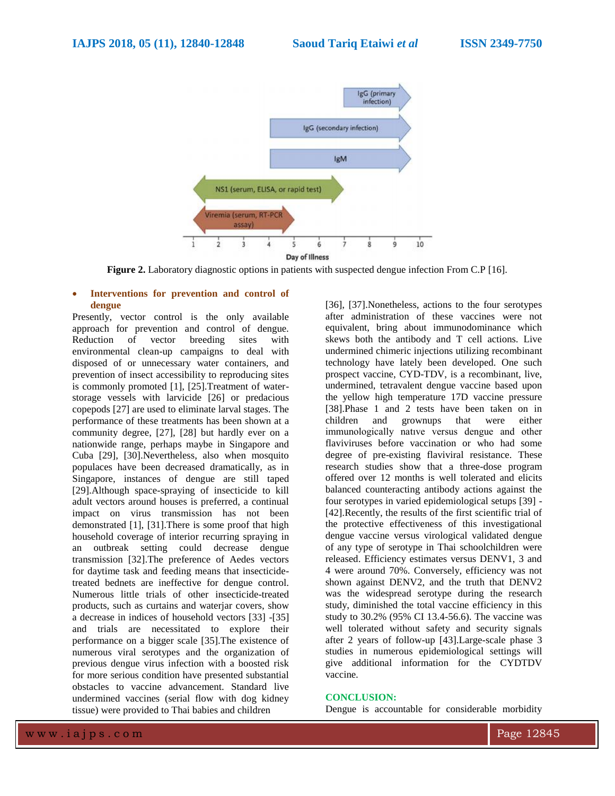

**Figure 2.** Laboratory diagnostic options in patients with suspected dengue infection From C.P [16].

#### • **Interventions for prevention and control of dengue**

Presently, vector control is the only available approach for prevention and control of dengue. Reduction of vector breeding sites with environmental clean-up campaigns to deal with disposed of or unnecessary water containers, and prevention of insect accessibility to reproducing sites is commonly promoted [1], [25].Treatment of waterstorage vessels with larvicide [26] or predacious copepods [27] are used to eliminate larval stages. The performance of these treatments has been shown at a community degree, [27], [28] but hardly ever on a nationwide range, perhaps maybe in Singapore and Cuba [29], [30].Nevertheless, also when mosquito populaces have been decreased dramatically, as in Singapore, instances of dengue are still taped [29].Although space-spraying of insecticide to kill adult vectors around houses is preferred, a continual impact on virus transmission has not been demonstrated [1], [31].There is some proof that high household coverage of interior recurring spraying in an outbreak setting could decrease dengue transmission [32].The preference of Aedes vectors for daytime task and feeding means that insecticidetreated bednets are ineffective for dengue control. Numerous little trials of other insecticide-treated products, such as curtains and waterjar covers, show a decrease in indices of household vectors [33] -[35] and trials are necessitated to explore their performance on a bigger scale [35].The existence of numerous viral serotypes and the organization of previous dengue virus infection with a boosted risk for more serious condition have presented substantial obstacles to vaccine advancement. Standard live undermined vaccines (serial flow with dog kidney tissue) were provided to Thai babies and children

[36], [37].Nonetheless, actions to the four serotypes after administration of these vaccines were not equivalent, bring about immunodominance which skews both the antibody and T cell actions. Live undermined chimeric injections utilizing recombinant technology have lately been developed. One such prospect vaccine, CYD-TDV, is a recombinant, live, undermined, tetravalent dengue vaccine based upon the yellow high temperature 17D vaccine pressure [38].Phase 1 and 2 tests have been taken on in children and grownups that were either immunologically natıve versus dengue and other flaviviruses before vaccination or who had some degree of pre-existing flaviviral resistance. These research studies show that a three-dose program offered over 12 months is well tolerated and elicits balanced counteracting antibody actions against the four serotypes in varied epidemiological setups [39] - [42].Recently, the results of the first scientific trial of the protective effectiveness of this investigational dengue vaccine versus virological validated dengue of any type of serotype in Thai schoolchildren were released. Efficiency estimates versus DENV1, 3 and 4 were around 70%. Conversely, efficiency was not shown against DENV2, and the truth that DENV2 was the widespread serotype during the research study, diminished the total vaccine efficiency in this study to 30.2% (95% CI 13.4-56.6). The vaccine was well tolerated without safety and security signals after 2 years of follow-up [43].Large-scale phase 3 studies in numerous epidemiological settings will give additional information for the CYDTDV vaccine.

#### **CONCLUSION:**

Dengue is accountable for considerable morbidity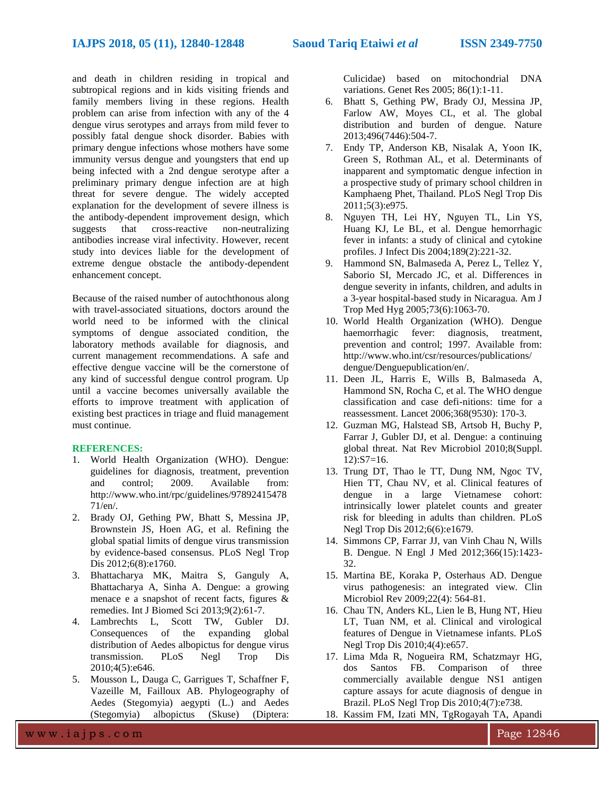and death in children residing in tropical and subtropical regions and in kids visiting friends and family members living in these regions. Health problem can arise from infection with any of the 4 dengue virus serotypes and arrays from mild fever to possibly fatal dengue shock disorder. Babies with primary dengue infections whose mothers have some immunity versus dengue and youngsters that end up being infected with a 2nd dengue serotype after a preliminary primary dengue infection are at high threat for severe dengue. The widely accepted explanation for the development of severe illness is the antibody-dependent improvement design, which suggests that cross-reactive non-neutralizing antibodies increase viral infectivity. However, recent study into devices liable for the development of extreme dengue obstacle the antibody-dependent enhancement concept.

Because of the raised number of autochthonous along with travel-associated situations, doctors around the world need to be informed with the clinical symptoms of dengue associated condition, the laboratory methods available for diagnosis, and current management recommendations. A safe and effective dengue vaccine will be the cornerstone of any kind of successful dengue control program. Up until a vaccine becomes universally available the efforts to improve treatment with application of existing best practices in triage and fluid management must continue.

#### **REFERENCES:**

- 1. World Health Organization (WHO). Dengue: guidelines for diagnosis, treatment, prevention and control; 2009. Available from: [http://www.who.int/rpc/guidelines/97892415478](http://www.who.int/rpc/guidelines/9789241547871/en/) [71/en/.](http://www.who.int/rpc/guidelines/9789241547871/en/)
- 2. Brady OJ, Gething PW, Bhatt S, Messina JP, Brownstein JS, Hoen AG, et al. Refining the global spatial limits of dengue virus transmission by evidence-based consensus. PLoS Negl Trop Dis 2012;6(8):e1760.
- 3. Bhattacharya MK, Maitra S, Ganguly A, Bhattacharya A, Sinha A. Dengue: a growing menace e a snapshot of recent facts, figures & remedies. Int J Biomed Sci 2013;9(2):61-7.
- 4. Lambrechts L, Scott TW, Gubler DJ. Consequences of the expanding global distribution of Aedes albopictus for dengue virus transmission. PLoS Negl Trop Dis 2010;4(5):e646.
- 5. Mousson L, Dauga C, Garrigues T, Schaffner F, Vazeille M, Failloux AB. Phylogeography of Aedes (Stegomyia) aegypti (L.) and Aedes (Stegomyia) albopictus (Skuse) (Diptera:

Culicidae) based on mitochondrial DNA variations. Genet Res 2005; 86(1):1-11.

- 6. Bhatt S, Gething PW, Brady OJ, Messina JP, Farlow AW, Moyes CL, et al. The global distribution and burden of dengue. Nature 2013;496(7446):504-7.
- 7. Endy TP, Anderson KB, Nisalak A, Yoon IK, Green S, Rothman AL, et al. Determinants of inapparent and symptomatic dengue infection in a prospective study of primary school children in Kamphaeng Phet, Thailand. PLoS Negl Trop Dis 2011;5(3):e975.
- 8. Nguyen TH, Lei HY, Nguyen TL, Lin YS, Huang KJ, Le BL, et al. Dengue hemorrhagic fever in infants: a study of clinical and cytokine profiles. J Infect Dis 2004;189(2):221-32.
- 9. Hammond SN, Balmaseda A, Perez L, Tellez Y, Saborio SI, Mercado JC, et al. Differences in dengue severity in infants, children, and adults in a 3-year hospital-based study in Nicaragua. Am J Trop Med Hyg 2005;73(6):1063-70.
- 10. World Health Organization (WHO). Dengue haemorrhagic fever: diagnosis, treatment, prevention and control; 1997. Available from: http://www.who.int/csr/resources/publications/ dengue/Denguepublication/en/.
- 11. Deen JL, Harris E, Wills B, Balmaseda A, Hammond SN, Rocha C, et al. The WHO dengue classification and case defi-nitions: time for a reassessment. Lancet 2006;368(9530): 170-3.
- 12. Guzman MG, Halstead SB, Artsob H, Buchy P, Farrar J, Gubler DJ, et al. Dengue: a continuing global threat. Nat Rev Microbiol 2010;8(Suppl. 12):S7=16.
- 13. Trung DT, Thao le TT, Dung NM, Ngoc TV, Hien TT, Chau NV, et al. Clinical features of dengue in a large Vietnamese cohort: intrinsically lower platelet counts and greater risk for bleeding in adults than children. PLoS Negl Trop Dis 2012;6(6):e1679.
- 14. Simmons CP, Farrar JJ, van Vinh Chau N, Wills B. Dengue. N Engl J Med 2012;366(15):1423- 32.
- 15. Martina BE, Koraka P, Osterhaus AD. Dengue virus pathogenesis: an integrated view. Clin Microbiol Rev 2009;22(4): 564-81.
- 16. Chau TN, Anders KL, Lien le B, Hung NT, Hieu LT, Tuan NM, et al. Clinical and virological features of Dengue in Vietnamese infants. PLoS Negl Trop Dis 2010;4(4):e657.
- 17. Lima Mda R, Nogueira RM, Schatzmayr HG, dos Santos FB. Comparison of three commercially available dengue NS1 antigen capture assays for acute diagnosis of dengue in Brazil. PLoS Negl Trop Dis 2010;4(7):e738.
- 18. Kassim FM, Izati MN, TgRogayah TA, Apandi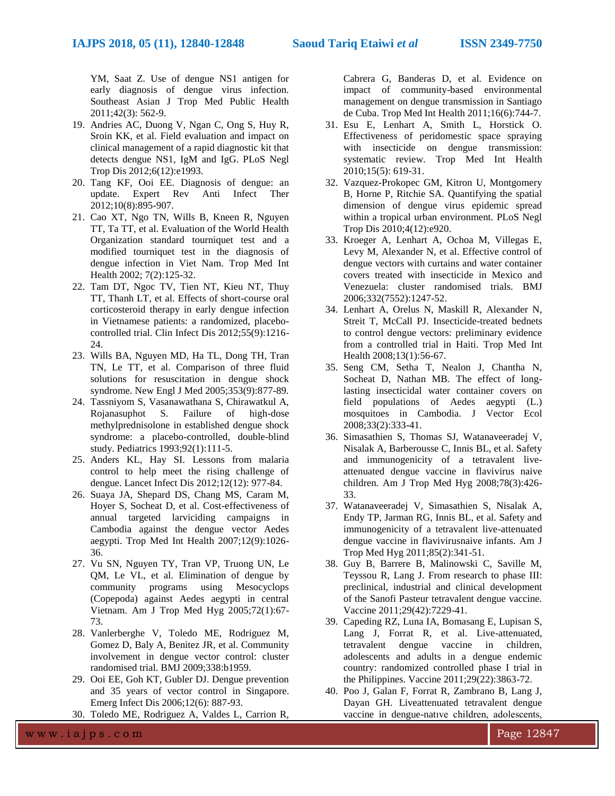YM, Saat Z. Use of dengue NS1 antigen for early diagnosis of dengue virus infection. Southeast Asian J Trop Med Public Health 2011;42(3): 562-9.

- 19. Andries AC, Duong V, Ngan C, Ong S, Huy R, Sroin KK, et al. Field evaluation and impact on clinical management of a rapid diagnostic kit that detects dengue NS1, IgM and IgG. PLoS Negl Trop Dis 2012;6(12):e1993.
- 20. Tang KF, Ooi EE. Diagnosis of dengue: an update. Expert Rev Anti Infect Ther 2012;10(8):895-907.
- 21. Cao XT, Ngo TN, Wills B, Kneen R, Nguyen TT, Ta TT, et al. Evaluation of the World Health Organization standard tourniquet test and a modified tourniquet test in the diagnosis of dengue infection in Viet Nam. Trop Med Int Health 2002; 7(2):125-32.
- 22. Tam DT, Ngoc TV, Tien NT, Kieu NT, Thuy TT, Thanh LT, et al. Effects of short-course oral corticosteroid therapy in early dengue infection in Vietnamese patients: a randomized, placebocontrolled trial. Clin Infect Dis 2012;55(9):1216- 24.
- 23. Wills BA, Nguyen MD, Ha TL, Dong TH, Tran TN, Le TT, et al. Comparison of three fluid solutions for resuscitation in dengue shock syndrome. New Engl J Med 2005;353(9):877-89.
- 24. Tassniyom S, Vasanawathana S, Chirawatkul A, Rojanasuphot S. Failure of high-dose methylprednisolone in established dengue shock syndrome: a placebo-controlled, double-blind study. Pediatrics 1993;92(1):111-5.
- 25. Anders KL, Hay SI. Lessons from malaria control to help meet the rising challenge of dengue. Lancet Infect Dis 2012;12(12): 977-84.
- 26. Suaya JA, Shepard DS, Chang MS, Caram M, Hoyer S, Socheat D, et al. Cost-effectiveness of annual targeted larviciding campaigns in Cambodia against the dengue vector Aedes aegypti. Trop Med Int Health 2007;12(9):1026- 36.
- 27. Vu SN, Nguyen TY, Tran VP, Truong UN, Le QM, Le VL, et al. Elimination of dengue by community programs using Mesocyclops (Copepoda) against Aedes aegypti in central Vietnam. Am J Trop Med Hyg 2005;72(1):67- 73.
- 28. Vanlerberghe V, Toledo ME, Rodriguez M, Gomez D, Baly A, Benitez JR, et al. Community involvement in dengue vector control: cluster randomised trial. BMJ 2009;338:b1959.
- 29. Ooi EE, Goh KT, Gubler DJ. Dengue prevention and 35 years of vector control in Singapore. Emerg Infect Dis 2006;12(6): 887-93.

30. Toledo ME, Rodriguez A, Valdes L, Carrion R,

Cabrera G, Banderas D, et al. Evidence on impact of community-based environmental management on dengue transmission in Santiago de Cuba. Trop Med Int Health 2011;16(6):744-7.

- 31. Esu E, Lenhart A, Smith L, Horstick O. Effectiveness of peridomestic space spraying with insecticide on dengue transmission: systematic review. Trop Med Int Health 2010;15(5): 619-31.
- 32. Vazquez-Prokopec GM, Kitron U, Montgomery B, Horne P, Ritchie SA. Quantifying the spatial dimension of dengue virus epidemic spread within a tropical urban environment. PLoS Negl Trop Dis 2010;4(12):e920.
- 33. Kroeger A, Lenhart A, Ochoa M, Villegas E, Levy M, Alexander N, et al. Effective control of dengue vectors with curtains and water container covers treated with insecticide in Mexico and Venezuela: cluster randomised trials. BMJ 2006;332(7552):1247-52.
- 34. Lenhart A, Orelus N, Maskill R, Alexander N, Streit T, McCall PJ. Insecticide-treated bednets to control dengue vectors: preliminary evidence from a controlled trial in Haiti. Trop Med Int Health 2008;13(1):56-67.
- 35. Seng CM, Setha T, Nealon J, Chantha N, Socheat D, Nathan MB. The effect of longlasting insecticidal water container covers on field populations of Aedes aegypti (L.) mosquitoes in Cambodia. J Vector Ecol 2008;33(2):333-41.
- 36. Simasathien S, Thomas SJ, Watanaveeradej V, Nisalak A, Barberousse C, Innis BL, et al. Safety and immunogenicity of a tetravalent liveattenuated dengue vaccine in flavivirus naive children. Am J Trop Med Hyg 2008;78(3):426- 33.
- 37. Watanaveeradej V, Simasathien S, Nisalak A, Endy TP, Jarman RG, Innis BL, et al. Safety and immunogenicity of a tetravalent live-attenuated dengue vaccine in flavivirusnaive infants. Am J Trop Med Hyg 2011;85(2):341-51.
- 38. Guy B, Barrere B, Malinowski C, Saville M, Teyssou R, Lang J. From research to phase III: preclinical, industrial and clinical development of the Sanofi Pasteur tetravalent dengue vaccine. Vaccine 2011;29(42):7229-41.
- 39. Capeding RZ, Luna IA, Bomasang E, Lupisan S, Lang J, Forrat R, et al. Live-attenuated, tetravalent dengue vaccine in children, adolescents and adults in a dengue endemic country: randomized controlled phase I trial in the Philippines. Vaccine 2011;29(22):3863-72.
- 40. Poo J, Galan F, Forrat R, Zambrano B, Lang J, Dayan GH. Liveattenuated tetravalent dengue vaccine in dengue-natıve children, adolescents,